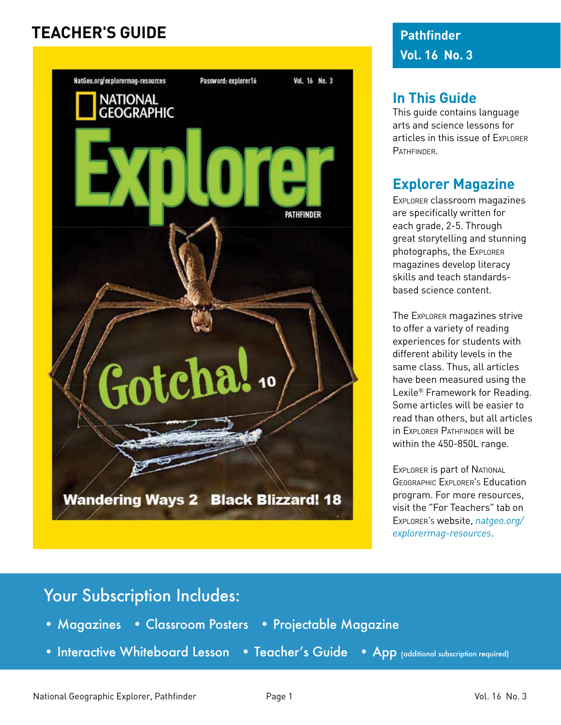#### **TEACHER'S GUIDE**



**Pathfinder Vol. 16 No. 3**

#### **In This Guide**

This guide contains language arts and science lessons for articles in this issue of Explorer **PATHFINDER** 

#### **Explorer Magazine**

Explorer classroom magazines are specifically written for each grade, 2-5. Through great storytelling and stunning photographs, the Explorer magazines develop literacy skills and teach standardsbased science content.

The Explorer magazines strive to offer a variety of reading experiences for students with different ability levels in the same class. Thus, all articles have been measured using the Lexile® Framework for Reading. Some articles will be easier to read than others, but all articles in Explorer Pathfinder will be within the 450-850L range.

EXPLORER IS part of NATIONAL Geographic Explorer's Education program. For more resources, visit the "For Teachers" tab on Explorer's website, *natgeo.org/ explorermag-resources*.

#### Your Subscription Includes:

- Magazines Classroom Posters Projectable Magazine
- Interactive Whiteboard Lesson Teacher's Guide App (additional subscription required)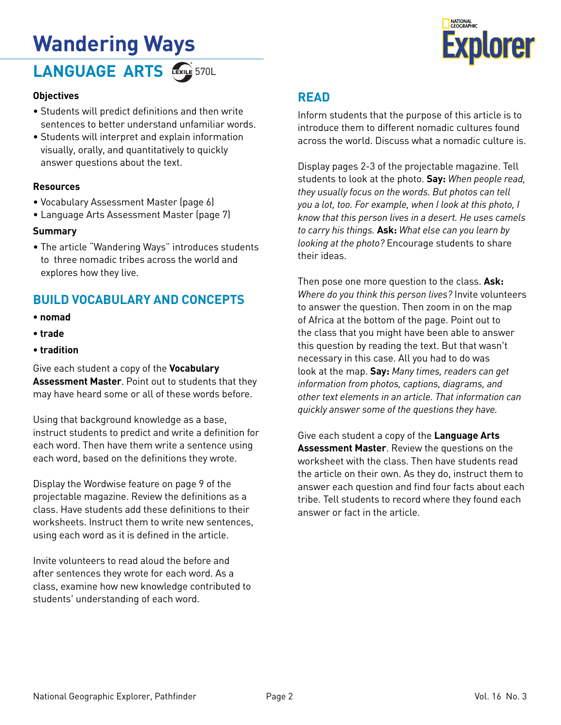# **Wandering Ways**

LANGUAGE ARTS **EXAL** 570L



#### **Objectives**

- Students will predict definitions and then write sentences to better understand unfamiliar words.
- Students will interpret and explain information visually, orally, and quantitatively to quickly answer questions about the text.

#### **Resources**

- Vocabulary Assessment Master (page 6)
- Language Arts Assessment Master (page 7)

#### **Summary**

• The article "Wandering Ways" introduces students to three nomadic tribes across the world and explores how they live.

#### **BUILD VOCABULARY AND CONCEPTS**

- **nomad**
- **trade**
- **tradition**

Give each student a copy of the **Vocabulary Assessment Master**. Point out to students that they may have heard some or all of these words before.

Using that background knowledge as a base, instruct students to predict and write a definition for each word. Then have them write a sentence using each word, based on the definitions they wrote.

Display the Wordwise feature on page 9 of the projectable magazine. Review the definitions as a class. Have students add these definitions to their worksheets. Instruct them to write new sentences, using each word as it is defined in the article.

Invite volunteers to read aloud the before and after sentences they wrote for each word. As a class, examine how new knowledge contributed to students' understanding of each word.

#### **READ**

Inform students that the purpose of this article is to introduce them to different nomadic cultures found across the world. Discuss what a nomadic culture is.

Display pages 2-3 of the projectable magazine. Tell students to look at the photo. **Say:** *When people read, they usually focus on the words. But photos can tell you a lot, too. For example, when I look at this photo, I know that this person lives in a desert. He uses camels to carry his things.* **Ask:** *What else can you learn by looking at the photo?* Encourage students to share their ideas.

Then pose one more question to the class. **Ask:**  *Where do you think this person lives?* Invite volunteers to answer the question. Then zoom in on the map of Africa at the bottom of the page. Point out to the class that you might have been able to answer this question by reading the text. But that wasn't necessary in this case. All you had to do was look at the map. **Say:** *Many times, readers can get information from photos, captions, diagrams, and other text elements in an article. That information can quickly answer some of the questions they have.*

Give each student a copy of the **Language Arts Assessment Master**. Review the questions on the worksheet with the class. Then have students read the article on their own. As they do, instruct them to answer each question and find four facts about each tribe. Tell students to record where they found each answer or fact in the article.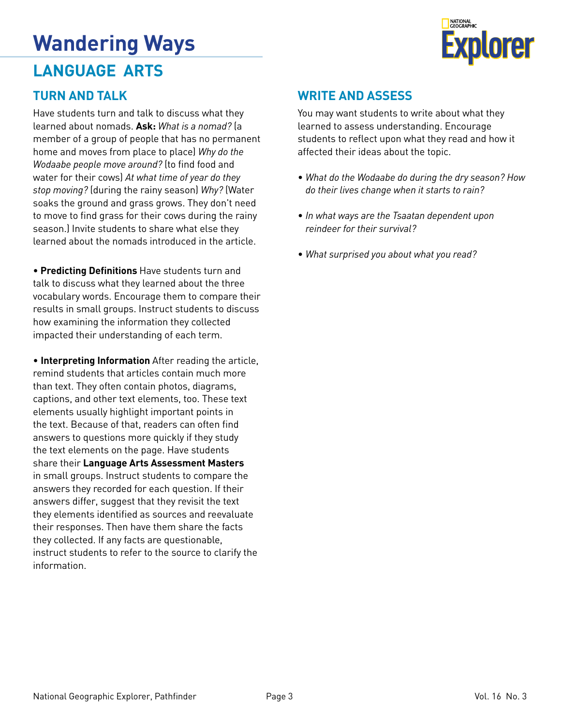## **Wandering Ways**

#### **LANGUAGE ARTS**



#### **TURN AND TALK**

Have students turn and talk to discuss what they learned about nomads. **Ask:** *What is a nomad?* (a member of a group of people that has no permanent home and moves from place to place) *Why do the Wodaabe people move around?* (to find food and water for their cows) *At what time of year do they stop moving?* (during the rainy season) *Why?* (Water soaks the ground and grass grows. They don't need to move to find grass for their cows during the rainy season.) Invite students to share what else they learned about the nomads introduced in the article.

• **Predicting Definitions** Have students turn and talk to discuss what they learned about the three vocabulary words. Encourage them to compare their results in small groups. Instruct students to discuss how examining the information they collected impacted their understanding of each term.

• **Interpreting Information** After reading the article, remind students that articles contain much more than text. They often contain photos, diagrams, captions, and other text elements, too. These text elements usually highlight important points in the text. Because of that, readers can often find answers to questions more quickly if they study the text elements on the page. Have students share their **Language Arts Assessment Masters** in small groups. Instruct students to compare the answers they recorded for each question. If their answers differ, suggest that they revisit the text they elements identified as sources and reevaluate their responses. Then have them share the facts they collected. If any facts are questionable, instruct students to refer to the source to clarify the information.

#### **WRITE AND ASSESS**

You may want students to write about what they learned to assess understanding. Encourage students to reflect upon what they read and how it affected their ideas about the topic.

- *What do the Wodaabe do during the dry season? How do their lives change when it starts to rain?*
- *In what ways are the Tsaatan dependent upon reindeer for their survival?*
- *What surprised you about what you read?*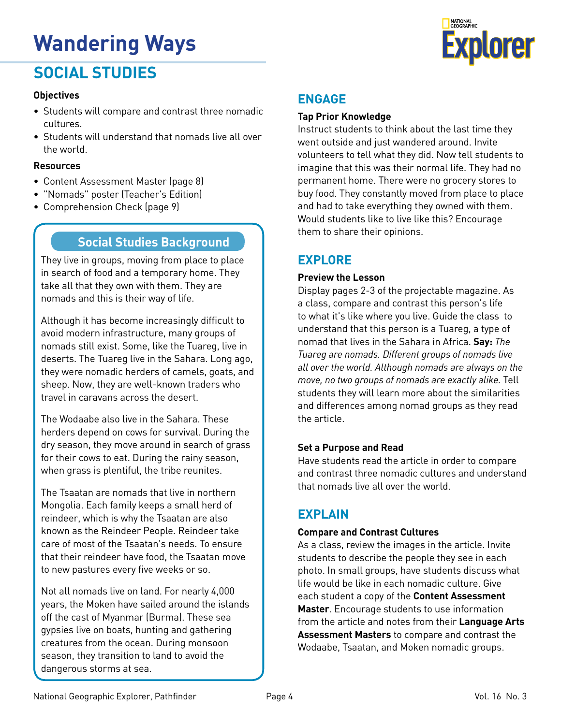# **Wandering Ways Explorer**

#### **SOCIAL STUDIES**

#### **Objectives**

- Students will compare and contrast three nomadic cultures.
- Students will understand that nomads live all over the world.

#### **Resources**

- Content Assessment Master (page 8)
- "Nomads" poster (Teacher's Edition)
- Comprehension Check (page 9)

#### **Social Studies Background**

They live in groups, moving from place to place in search of food and a temporary home. They take all that they own with them. They are nomads and this is their way of life.

Although it has become increasingly difficult to avoid modern infrastructure, many groups of nomads still exist. Some, like the Tuareg, live in deserts. The Tuareg live in the Sahara. Long ago, they were nomadic herders of camels, goats, and sheep. Now, they are well-known traders who travel in caravans across the desert.

The Wodaabe also live in the Sahara. These herders depend on cows for survival. During the dry season, they move around in search of grass for their cows to eat. During the rainy season, when grass is plentiful, the tribe reunites.

The Tsaatan are nomads that live in northern Mongolia. Each family keeps a small herd of reindeer, which is why the Tsaatan are also known as the Reindeer People. Reindeer take care of most of the Tsaatan's needs. To ensure that their reindeer have food, the Tsaatan move to new pastures every five weeks or so.

Not all nomads live on land. For nearly 4,000 years, the Moken have sailed around the islands off the cast of Myanmar (Burma). These sea gypsies live on boats, hunting and gathering creatures from the ocean. During monsoon season, they transition to land to avoid the dangerous storms at sea.

#### **Tap Prior Knowledge**

Instruct students to think about the last time they went outside and just wandered around. Invite volunteers to tell what they did. Now tell students to imagine that this was their normal life. They had no permanent home. There were no grocery stores to buy food. They constantly moved from place to place and had to take everything they owned with them. Would students like to live like this? Encourage them to share their opinions.

#### **EXPLORE**

#### **Preview the Lesson**

Display pages 2-3 of the projectable magazine. As a class, compare and contrast this person's life to what it's like where you live. Guide the class to understand that this person is a Tuareg, a type of nomad that lives in the Sahara in Africa. **Say:** *The Tuareg are nomads. Different groups of nomads live all over the world. Although nomads are always on the move, no two groups of nomads are exactly alike.* Tell students they will learn more about the similarities and differences among nomad groups as they read the article.

#### **Set a Purpose and Read**

Have students read the article in order to compare and contrast three nomadic cultures and understand that nomads live all over the world.

#### **EXPLAIN**

#### **Compare and Contrast Cultures**

As a class, review the images in the article. Invite students to describe the people they see in each photo. In small groups, have students discuss what life would be like in each nomadic culture. Give each student a copy of the **Content Assessment Master**. Encourage students to use information from the article and notes from their **Language Arts Assessment Masters** to compare and contrast the Wodaabe, Tsaatan, and Moken nomadic groups.

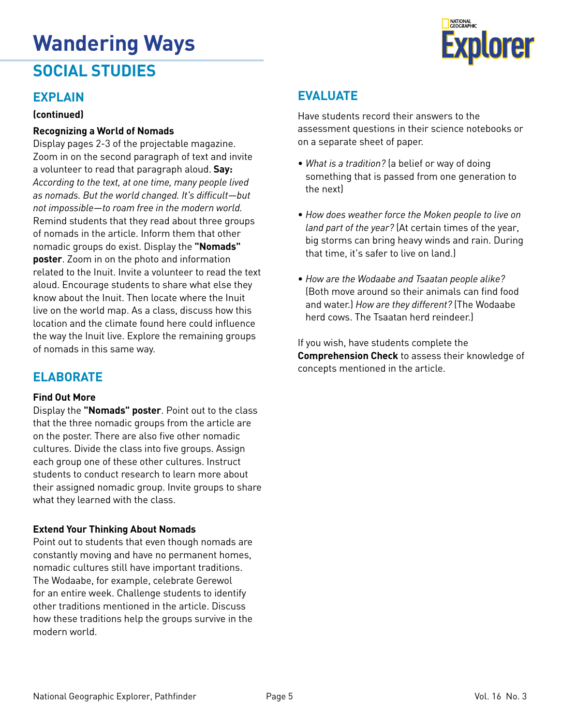#### **EXPLAIN**

#### **(continued)**

#### **Recognizing a World of Nomads**

Display pages 2-3 of the projectable magazine. Zoom in on the second paragraph of text and invite a volunteer to read that paragraph aloud. **Say:**  *According to the text, at one time, many people lived as nomads. But the world changed. It's difficult—but not impossible—to roam free in the modern world.* Remind students that they read about three groups of nomads in the article. Inform them that other nomadic groups do exist. Display the **"Nomads" poster**. Zoom in on the photo and information related to the Inuit. Invite a volunteer to read the text aloud. Encourage students to share what else they know about the Inuit. Then locate where the Inuit live on the world map. As a class, discuss how this location and the climate found here could influence the way the Inuit live. Explore the remaining groups of nomads in this same way.

#### **ELABORATE**

#### **Find Out More**

Display the **"Nomads" poster**. Point out to the class that the three nomadic groups from the article are on the poster. There are also five other nomadic cultures. Divide the class into five groups. Assign each group one of these other cultures. Instruct students to conduct research to learn more about their assigned nomadic group. Invite groups to share what they learned with the class.

#### **Extend Your Thinking About Nomads**

Point out to students that even though nomads are constantly moving and have no permanent homes, nomadic cultures still have important traditions. The Wodaabe, for example, celebrate Gerewol for an entire week. Challenge students to identify other traditions mentioned in the article. Discuss how these traditions help the groups survive in the modern world.

Have students record their answers to the assessment questions in their science notebooks or on a separate sheet of paper.

- *What is a tradition?* (a belief or way of doing something that is passed from one generation to the next)
- *How does weather force the Moken people to live on land part of the year?* (At certain times of the year, big storms can bring heavy winds and rain. During that time, it's safer to live on land.)
- *How are the Wodaabe and Tsaatan people alike?*  (Both move around so their animals can find food and water.) *How are they different?* (The Wodaabe herd cows. The Tsaatan herd reindeer.

If you wish, have students complete the **Comprehension Check** to assess their knowledge of concepts mentioned in the article.

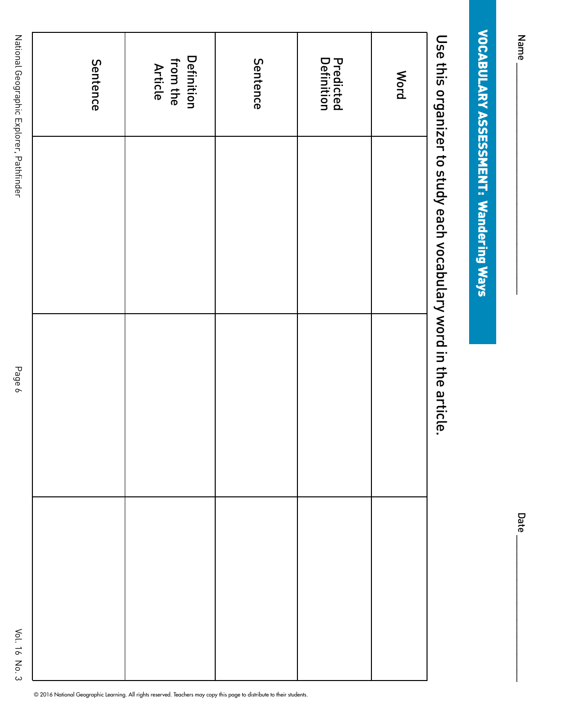|   | Date |
|---|------|
|   |      |
| l |      |
|   |      |
|   |      |
|   |      |
|   |      |
|   |      |

Date

# **VOCABULARY ASSESSMENT: Wandering Ways** VOCABULARY ASSESSMENT: Wandering Ways

# Use this organizer to study each vocabulary word in the article. Use this organizer to study each vocabulary word in the article.

| Sentence | <b>Definition</b><br>from the<br>Article | Sentence | <b>Predicted</b><br>Definition | <b>Mord</b> |
|----------|------------------------------------------|----------|--------------------------------|-------------|
|          |                                          |          |                                |             |
|          |                                          |          |                                |             |
|          |                                          |          |                                |             |
|          |                                          |          |                                |             |
|          |                                          |          |                                |             |
|          |                                          |          |                                |             |

© 2016 National Geographic Learning. All rights reserved. Teachers may copy this page to distribute to their students.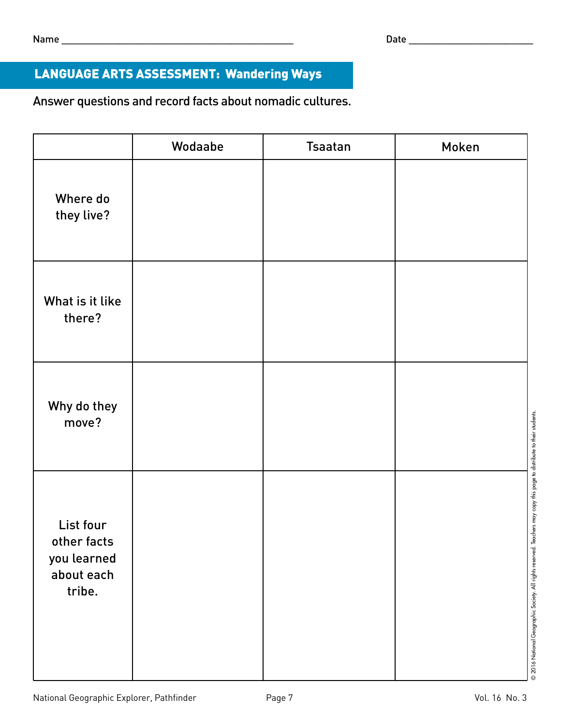#### LANGUAGE ARTS ASSESSMENT: Wandering Ways

Answer questions and record facts about nomadic cultures.

|                                                                 | Wodaabe | <b>Tsaatan</b> | Moken |
|-----------------------------------------------------------------|---------|----------------|-------|
| Where do<br>they live?                                          |         |                |       |
| What is it like<br>there?                                       |         |                |       |
| Why do they<br>move?                                            |         |                |       |
| List four<br>other facts<br>you learned<br>about each<br>tribe. |         |                |       |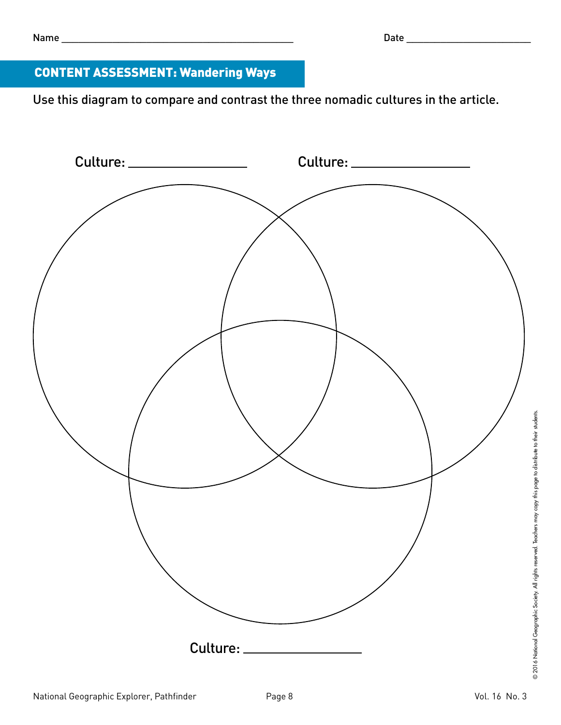#### CONTENT ASSESSMENT: Wandering Ways

Use this diagram to compare and contrast the three nomadic cultures in the article.

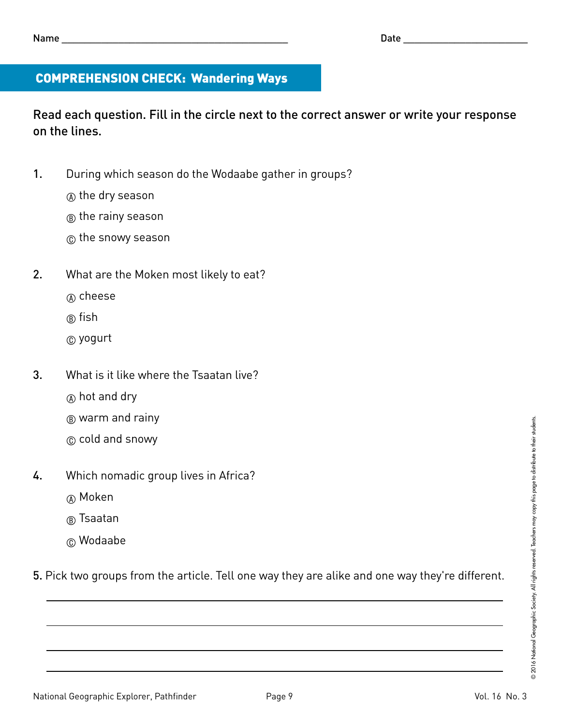#### COMPREHENSION CHECK: Wandering Ways

Read each question. Fill in the circle next to the correct answer or write your response on the lines.

- 1. During which season do the Wodaabe gather in groups?
	- A the dry season
	- $(B)$  the rainy season
	- C the snowy season
- 2. What are the Moken most likely to eat?
	- (A) cheese
	- ® fish
	- C yogurt
- 3. What is it like where the Tsaatan live?
	- $(A)$  hot and dry
	- $(B)$  warm and rainy
	- C cold and snowy
- 4. Which nomadic group lives in Africa?
	- (A) Moken
	- ® Tsaatan
	- C Wodaabe

5. Pick two groups from the article. Tell one way they are alike and one way they're different.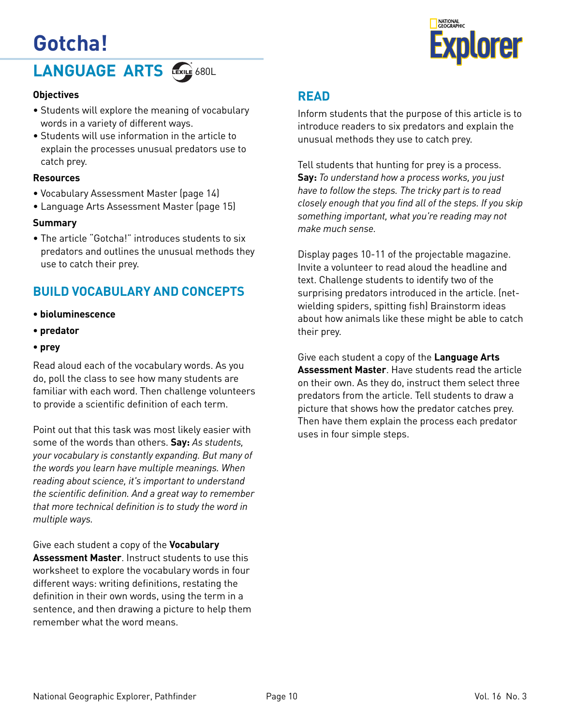### **Gotcha!**



#### **LANGUAGE ARTS**

#### **Objectives**

- Students will explore the meaning of vocabulary words in a variety of different ways.
- Students will use information in the article to explain the processes unusual predators use to catch prey.

#### **Resources**

- Vocabulary Assessment Master (page 14)
- Language Arts Assessment Master (page 15)

#### **Summary**

• The article "Gotcha!" introduces students to six predators and outlines the unusual methods they use to catch their prey.

#### **BUILD VOCABULARY AND CONCEPTS**

- **bioluminescence**
- **predator**
- **prey**

Read aloud each of the vocabulary words. As you do, poll the class to see how many students are familiar with each word. Then challenge volunteers to provide a scientific definition of each term.

Point out that this task was most likely easier with some of the words than others. **Say:** *As students, your vocabulary is constantly expanding. But many of the words you learn have multiple meanings. When reading about science, it's important to understand the scientific definition. And a great way to remember that more technical definition is to study the word in multiple ways.*

Give each student a copy of the **Vocabulary Assessment Master**. Instruct students to use this worksheet to explore the vocabulary words in four different ways: writing definitions, restating the definition in their own words, using the term in a sentence, and then drawing a picture to help them remember what the word means.

#### **READ**

Inform students that the purpose of this article is to introduce readers to six predators and explain the unusual methods they use to catch prey.

Tell students that hunting for prey is a process. **Say:** *To understand how a process works, you just have to follow the steps. The tricky part is to read closely enough that you find all of the steps. If you skip something important, what you're reading may not make much sense.*

Display pages 10-11 of the projectable magazine. Invite a volunteer to read aloud the headline and text. Challenge students to identify two of the surprising predators introduced in the article. (netwielding spiders, spitting fish) Brainstorm ideas about how animals like these might be able to catch their prey.

Give each student a copy of the **Language Arts Assessment Master**. Have students read the article on their own. As they do, instruct them select three predators from the article. Tell students to draw a picture that shows how the predator catches prey. Then have them explain the process each predator uses in four simple steps.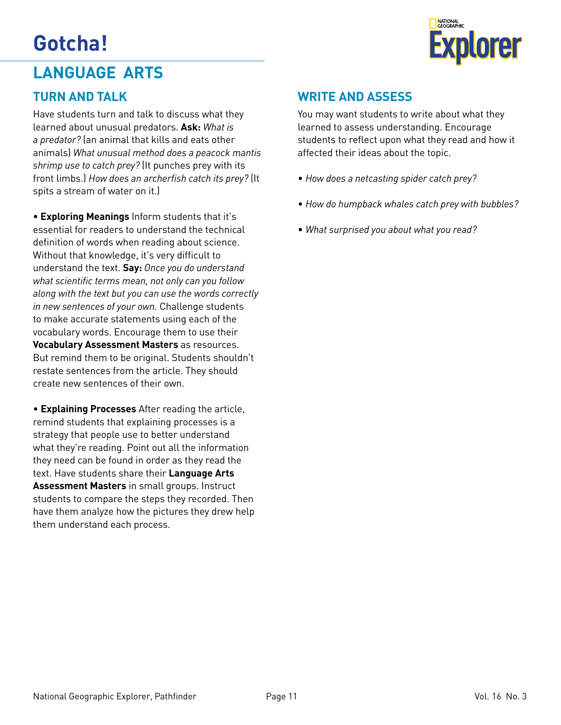# **Gotcha! Explorer**





Have students turn and talk to discuss what they learned about unusual predators. **Ask:** *What is a predator?* (an animal that kills and eats other animals) *What unusual method does a peacock mantis shrimp use to catch prey?* (It punches prey with its front limbs.) *How does an archerfish catch its prey?* (It spits a stream of water on it.)

• **Exploring Meanings** Inform students that it's essential for readers to understand the technical definition of words when reading about science. Without that knowledge, it's very difficult to understand the text. **Say:** *Once you do understand what scientific terms mean, not only can you follow along with the text but you can use the words correctly in new sentences of your own.* Challenge students to make accurate statements using each of the vocabulary words. Encourage them to use their **Vocabulary Assessment Masters** as resources. But remind them to be original. Students shouldn't restate sentences from the article. They should create new sentences of their own.

• **Explaining Processes** After reading the article, remind students that explaining processes is a strategy that people use to better understand what they're reading. Point out all the information they need can be found in order as they read the text. Have students share their **Language Arts Assessment Masters** in small groups. Instruct students to compare the steps they recorded. Then have them analyze how the pictures they drew help them understand each process.



#### **WRITE AND ASSESS**

You may want students to write about what they learned to assess understanding. Encourage students to reflect upon what they read and how it affected their ideas about the topic.

- *How does a netcasting spider catch prey?*
- *How do humpback whales catch prey with bubbles?*
- *What surprised you about what you read?*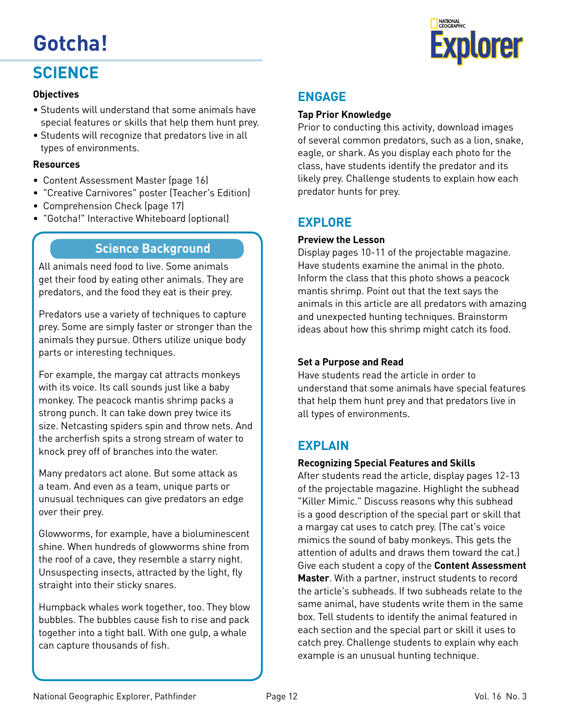

#### **SCIENCE**

#### **Objectives**

- Students will understand that some animals have special features or skills that help them hunt prey.
- Students will recognize that predators live in all types of environments.

#### **Resources**

- Content Assessment Master (page 16)
- "Creative Carnivores" poster (Teacher's Edition)
- Comprehension Check (page 17)
- "Gotcha!" Interactive Whiteboard (optional)

#### **Science Background**

All animals need food to live. Some animals get their food by eating other animals. They are predators, and the food they eat is their prey.

Predators use a variety of techniques to capture prey. Some are simply faster or stronger than the animals they pursue. Others utilize unique body parts or interesting techniques.

For example, the margay cat attracts monkeys with its voice. Its call sounds just like a baby monkey. The peacock mantis shrimp packs a strong punch. It can take down prey twice its size. Netcasting spiders spin and throw nets. And the archerfish spits a strong stream of water to knock prey off of branches into the water.

Many predators act alone. But some attack as a team. And even as a team, unique parts or unusual techniques can give predators an edge over their prey.

Glowworms, for example, have a bioluminescent shine. When hundreds of glowworms shine from the roof of a cave, they resemble a starry night. Unsuspecting insects, attracted by the light, fly straight into their sticky snares.

Humpback whales work together, too. They blow bubbles. The bubbles cause fish to rise and pack together into a tight ball. With one gulp, a whale can capture thousands of fish.

#### **ENGAGE**

#### **Tap Prior Knowledge**

Prior to conducting this activity, download images of several common predators, such as a lion, snake, eagle, or shark. As you display each photo for the class, have students identify the predator and its likely prey. Challenge students to explain how each predator hunts for prey.

#### **EXPLORE**

#### **Preview the Lesson**

Display pages 10-11 of the projectable magazine. Have students examine the animal in the photo. Inform the class that this photo shows a peacock mantis shrimp. Point out that the text says the animals in this article are all predators with amazing and unexpected hunting techniques. Brainstorm ideas about how this shrimp might catch its food.

#### **Set a Purpose and Read**

Have students read the article in order to understand that some animals have special features that help them hunt prey and that predators live in all types of environments.

#### **EXPLAIN**

#### **Recognizing Special Features and Skills**

After students read the article, display pages 12-13 of the projectable magazine. Highlight the subhead "Killer Mimic." Discuss reasons why this subhead is a good description of the special part or skill that a margay cat uses to catch prey. (The cat's voice mimics the sound of baby monkeys. This gets the attention of adults and draws them toward the cat.) Give each student a copy of the **Content Assessment Master**. With a partner, instruct students to record the article's subheads. If two subheads relate to the same animal, have students write them in the same box. Tell students to identify the animal featured in each section and the special part or skill it uses to catch prey. Challenge students to explain why each example is an unusual hunting technique.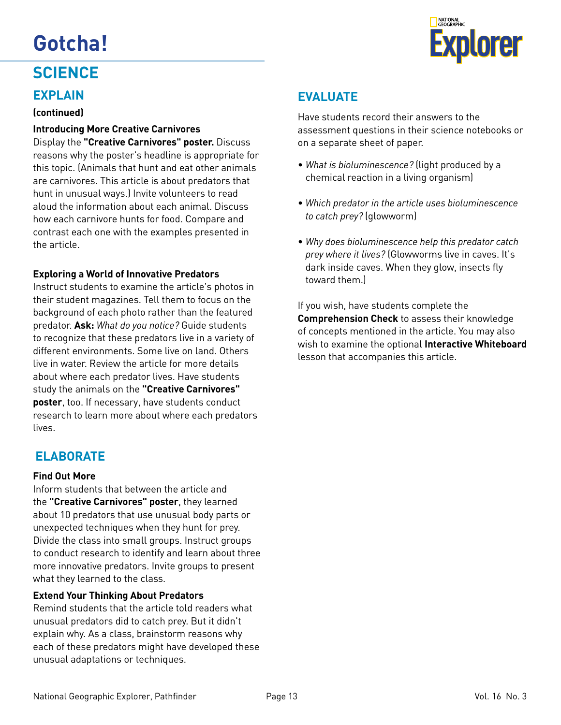

#### **SCIENCE**

#### **EXPLAIN**

#### **(continued)**

#### **Introducing More Creative Carnivores**

Display the **"Creative Carnivores" poster.** Discuss reasons why the poster's headline is appropriate for this topic. (Animals that hunt and eat other animals are carnivores. This article is about predators that hunt in unusual ways.) Invite volunteers to read aloud the information about each animal. Discuss how each carnivore hunts for food. Compare and contrast each one with the examples presented in the article.

#### **Exploring a World of Innovative Predators**

Instruct students to examine the article's photos in their student magazines. Tell them to focus on the background of each photo rather than the featured predator. **Ask:** *What do you notice?* Guide students to recognize that these predators live in a variety of different environments. Some live on land. Others live in water. Review the article for more details about where each predator lives. Have students study the animals on the **"Creative Carnivores" poster**, too. If necessary, have students conduct research to learn more about where each predators lives.

#### **ELABORATE**

#### **Find Out More**

Inform students that between the article and the **"Creative Carnivores" poster**, they learned about 10 predators that use unusual body parts or unexpected techniques when they hunt for prey. Divide the class into small groups. Instruct groups to conduct research to identify and learn about three more innovative predators. Invite groups to present what they learned to the class.

#### **Extend Your Thinking About Predators**

Remind students that the article told readers what unusual predators did to catch prey. But it didn't explain why. As a class, brainstorm reasons why each of these predators might have developed these unusual adaptations or techniques.

#### **EVALUATE**

Have students record their answers to the assessment questions in their science notebooks or on a separate sheet of paper.

- *What is bioluminescence?* (light produced by a chemical reaction in a living organism)
- *Which predator in the article uses bioluminescence to catch prey?* (glowworm)
- *Why does bioluminescence help this predator catch prey where it lives?* (Glowworms live in caves. It's dark inside caves. When they glow, insects fly toward them.)

If you wish, have students complete the **Comprehension Check** to assess their knowledge of concepts mentioned in the article. You may also wish to examine the optional **Interactive Whiteboard** lesson that accompanies this article.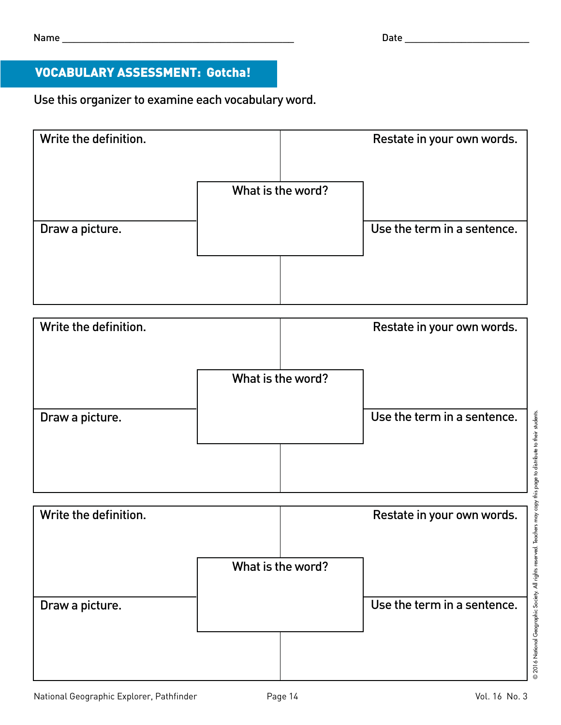#### VOCABULARY ASSESSMENT: Gotcha!

Use this organizer to examine each vocabulary word.

| Write the definition. |                   | Restate in your own words.  |
|-----------------------|-------------------|-----------------------------|
|                       | What is the word? |                             |
| Draw a picture.       |                   | Use the term in a sentence. |
|                       |                   |                             |



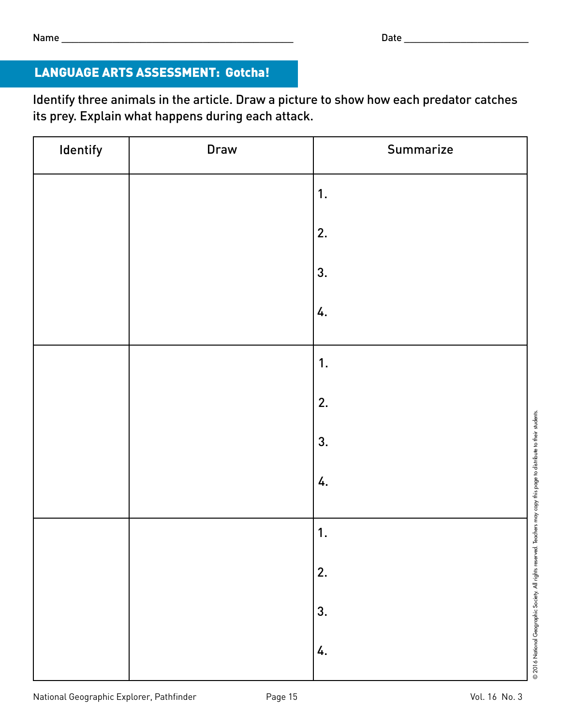#### LANGUAGE ARTS ASSESSMENT: Gotcha!

Identify three animals in the article. Draw a picture to show how each predator catches its prey. Explain what happens during each attack.

| Identify | Draw | Summarize |
|----------|------|-----------|
|          |      | 1.        |
|          |      | 2.        |
|          |      | 3.        |
|          |      | 4.        |
|          |      | 1.        |
|          |      | 2.        |
|          |      | 3.        |
|          |      | 4.        |
|          |      | 1.        |
|          |      | 2.        |
|          |      | 3.        |
|          |      | 4.        |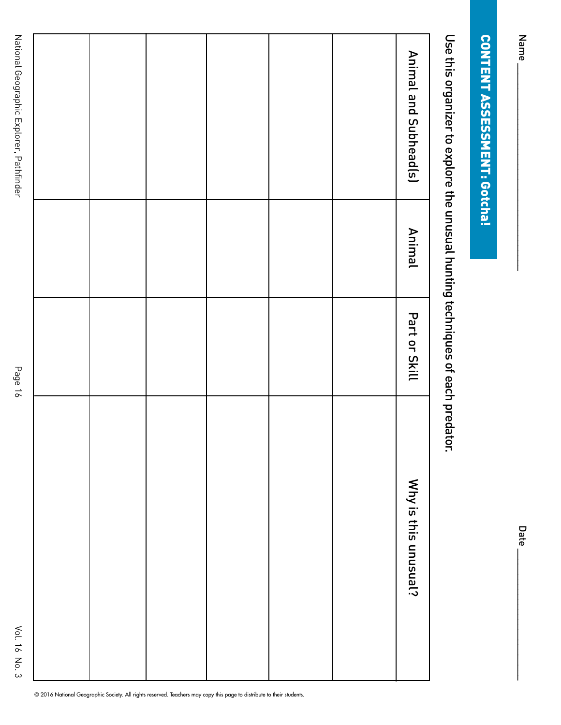| ֠ |
|---|

Date\_

# **CONTENT ASSESSMENT: Gotcha!** CONTENT ASSESSMENT: Gotcha!

Use this organizer to explore the unusual hunting techniques of each predator. Use this organizer to explore the unusual hunting techniques of each predator.

|  |  |  | Animal and Subhead(s) |
|--|--|--|-----------------------|
|  |  |  | <b>Animal</b>         |
|  |  |  | Part or Skill         |
|  |  |  | Why is this unusual?  |

© 2016 National Geographic Society. All rights reserved. Teachers may copy this page to distribute to their students.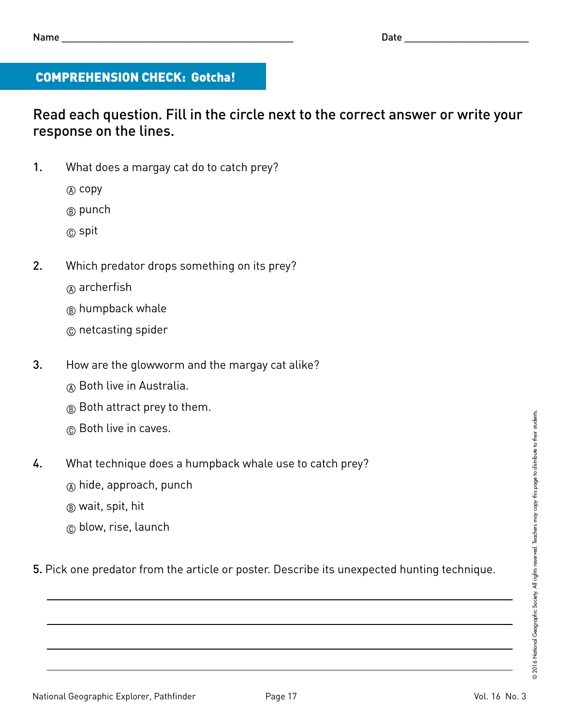#### COMPREHENSION CHECK: Gotcha!

#### Read each question. Fill in the circle next to the correct answer or write your response on the lines.

- 1. What does a margay cat do to catch prey?
	- $(A)$  copy
	- <sup>(B)</sup> punch
	- $\circ$  spit
- 2. Which predator drops something on its prey?
	- $\alpha$  archerfish
	- ® humpback whale
	- C netcasting spider
- 3. How are the glowworm and the margay cat alike?
	- (A) Both live in Australia.
	- $(B)$  Both attract prey to them.
	- C Both live in caves.
- 4. What technique does a humpback whale use to catch prey?
	- $\circ$  hide, approach, punch
	- B wait, spit, hit
	- $\circledcirc$  blow, rise, launch

5. Pick one predator from the article or poster. Describe its unexpected hunting technique.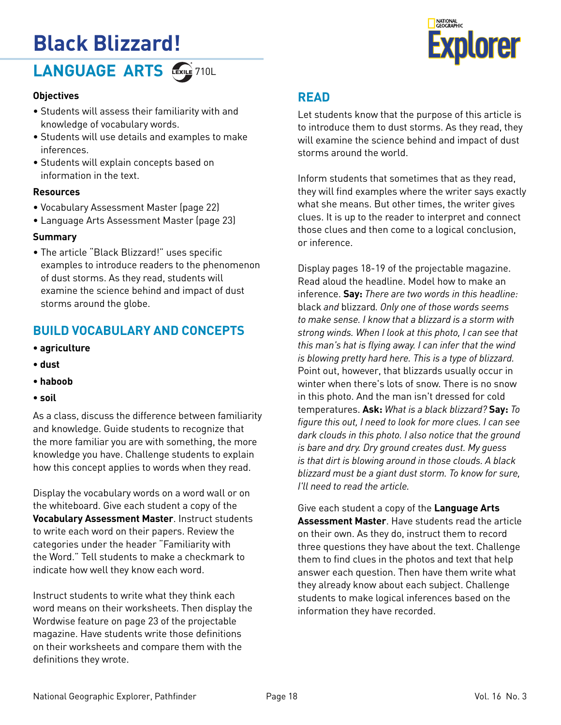# **Black Blizzard!**



#### **LANGUAGE ARTS**

#### **Objectives**

- Students will assess their familiarity with and knowledge of vocabulary words.
- Students will use details and examples to make inferences.
- Students will explain concepts based on information in the text.

#### **Resources**

- Vocabulary Assessment Master (page 22)
- Language Arts Assessment Master (page 23)

#### **Summary**

• The article "Black Blizzard!" uses specific examples to introduce readers to the phenomenon of dust storms. As they read, students will examine the science behind and impact of dust storms around the globe.

#### **BUILD VOCABULARY AND CONCEPTS**

- **agriculture**
- **dust**
- **haboob**
- **soil**

As a class, discuss the difference between familiarity and knowledge. Guide students to recognize that the more familiar you are with something, the more knowledge you have. Challenge students to explain how this concept applies to words when they read.

Display the vocabulary words on a word wall or on the whiteboard. Give each student a copy of the **Vocabulary Assessment Master**. Instruct students to write each word on their papers. Review the categories under the header "Familiarity with the Word." Tell students to make a checkmark to indicate how well they know each word.

Instruct students to write what they think each word means on their worksheets. Then display the Wordwise feature on page 23 of the projectable magazine. Have students write those definitions on their worksheets and compare them with the definitions they wrote.

#### **READ**

Let students know that the purpose of this article is to introduce them to dust storms. As they read, they will examine the science behind and impact of dust storms around the world.

Inform students that sometimes that as they read, they will find examples where the writer says exactly what she means. But other times, the writer gives clues. It is up to the reader to interpret and connect those clues and then come to a logical conclusion, or inference.

Display pages 18-19 of the projectable magazine. Read aloud the headline. Model how to make an inference. **Say:** *There are two words in this headline:*  black *and* blizzard*. Only one of those words seems to make sense. I know that a blizzard is a storm with strong winds. When I look at this photo, I can see that this man's hat is flying away. I can infer that the wind is blowing pretty hard here. This is a type of blizzard.*  Point out, however, that blizzards usually occur in winter when there's lots of snow. There is no snow in this photo. And the man isn't dressed for cold temperatures. **Ask:** *What is a black blizzard?* **Say:** *To figure this out, I need to look for more clues. I can see dark clouds in this photo. I also notice that the ground is bare and dry. Dry ground creates dust. My guess is that dirt is blowing around in those clouds. A black blizzard must be a giant dust storm. To know for sure, I'll need to read the article.*

Give each student a copy of the **Language Arts Assessment Master**. Have students read the article on their own. As they do, instruct them to record three questions they have about the text. Challenge them to find clues in the photos and text that help answer each question. Then have them write what they already know about each subject. Challenge students to make logical inferences based on the information they have recorded.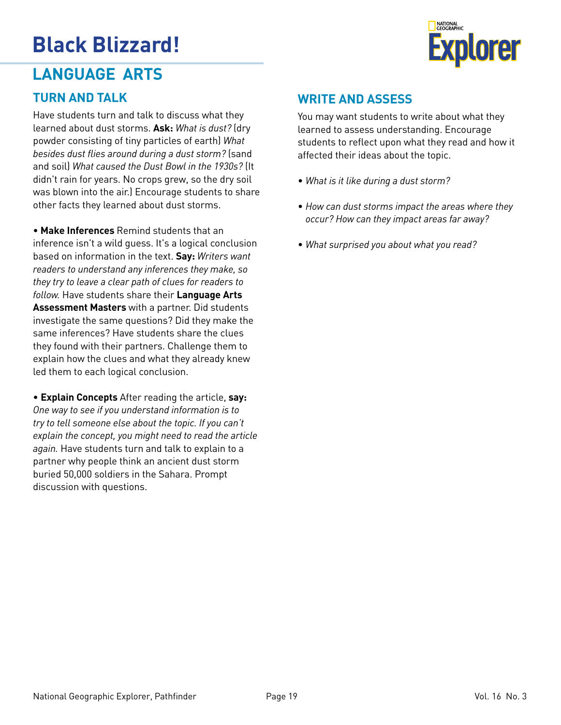

#### **LANGUAGE ARTS**

#### **TURN AND TALK**

Have students turn and talk to discuss what they learned about dust storms. **Ask:** *What is dust?* (dry powder consisting of tiny particles of earth) *What besides dust flies around during a dust storm?* (sand and soil) *What caused the Dust Bowl in the 1930s?* (It didn't rain for years. No crops grew, so the dry soil was blown into the air.) Encourage students to share other facts they learned about dust storms.

• **Make Inferences** Remind students that an inference isn't a wild guess. It's a logical conclusion based on information in the text. **Say:** *Writers want readers to understand any inferences they make, so they try to leave a clear path of clues for readers to follow.* Have students share their **Language Arts Assessment Masters** with a partner. Did students investigate the same questions? Did they make the same inferences? Have students share the clues they found with their partners. Challenge them to explain how the clues and what they already knew led them to each logical conclusion.

• **Explain Concepts** After reading the article, **say:** *One way to see if you understand information is to try to tell someone else about the topic. If you can't explain the concept, you might need to read the article again.* Have students turn and talk to explain to a partner why people think an ancient dust storm buried 50,000 soldiers in the Sahara. Prompt discussion with questions.

#### **WRITE AND ASSESS**

You may want students to write about what they learned to assess understanding. Encourage students to reflect upon what they read and how it affected their ideas about the topic.

- *What is it like during a dust storm?*
- *How can dust storms impact the areas where they occur? How can they impact areas far away?*
- *What surprised you about what you read?*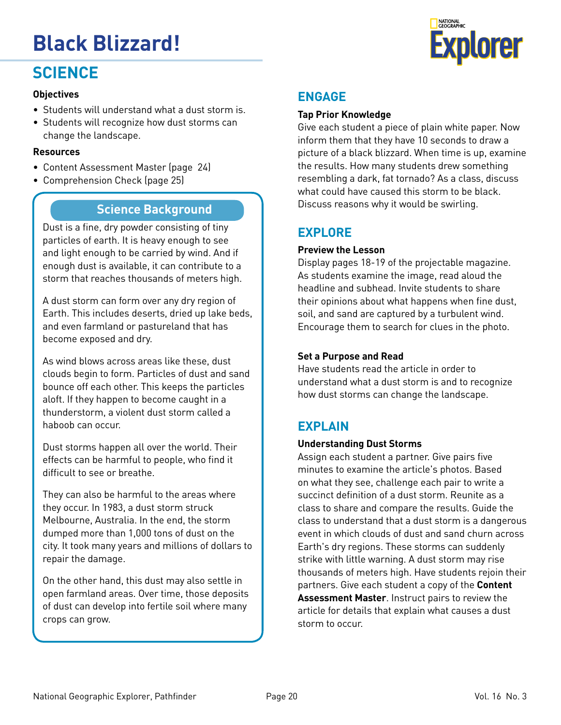# **Black Blizzard! Explorer**

#### **SCIENCE**

#### **Objectives**

- Students will understand what a dust storm is.
- Students will recognize how dust storms can change the landscape.

#### **Resources**

- Content Assessment Master (page 24)
- Comprehension Check (page 25)

#### **Science Background**

Dust is a fine, dry powder consisting of tiny particles of earth. It is heavy enough to see and light enough to be carried by wind. And if enough dust is available, it can contribute to a storm that reaches thousands of meters high.

A dust storm can form over any dry region of Earth. This includes deserts, dried up lake beds, and even farmland or pastureland that has become exposed and dry.

As wind blows across areas like these, dust clouds begin to form. Particles of dust and sand bounce off each other. This keeps the particles aloft. If they happen to become caught in a thunderstorm, a violent dust storm called a haboob can occur.

Dust storms happen all over the world. Their effects can be harmful to people, who find it difficult to see or breathe.

They can also be harmful to the areas where they occur. In 1983, a dust storm struck Melbourne, Australia. In the end, the storm dumped more than 1,000 tons of dust on the city. It took many years and millions of dollars to repair the damage.

On the other hand, this dust may also settle in open farmland areas. Over time, those deposits of dust can develop into fertile soil where many crops can grow.

#### **Tap Prior Knowledge**

Give each student a piece of plain white paper. Now inform them that they have 10 seconds to draw a picture of a black blizzard. When time is up, examine the results. How many students drew something resembling a dark, fat tornado? As a class, discuss what could have caused this storm to be black. Discuss reasons why it would be swirling.

#### **EXPLORE**

#### **Preview the Lesson**

Display pages 18-19 of the projectable magazine. As students examine the image, read aloud the headline and subhead. Invite students to share their opinions about what happens when fine dust, soil, and sand are captured by a turbulent wind. Encourage them to search for clues in the photo.

#### **Set a Purpose and Read**

Have students read the article in order to understand what a dust storm is and to recognize how dust storms can change the landscape.

#### **EXPLAIN**

#### **Understanding Dust Storms**

Assign each student a partner. Give pairs five minutes to examine the article's photos. Based on what they see, challenge each pair to write a succinct definition of a dust storm. Reunite as a class to share and compare the results. Guide the class to understand that a dust storm is a dangerous event in which clouds of dust and sand churn across Earth's dry regions. These storms can suddenly strike with little warning. A dust storm may rise thousands of meters high. Have students rejoin their partners. Give each student a copy of the **Content Assessment Master**. Instruct pairs to review the article for details that explain what causes a dust storm to occur.

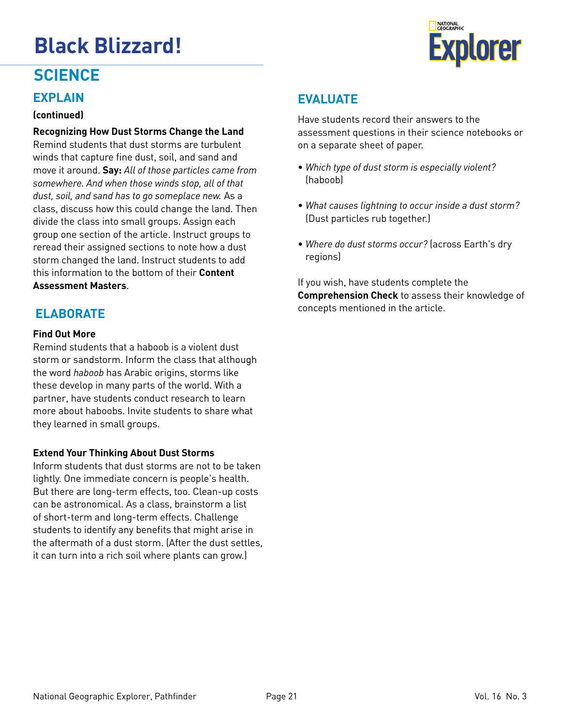

#### **SCIENCE**

#### **EXPLAIN**

#### **(continued)**

**Recognizing How Dust Storms Change the Land**  Remind students that dust storms are turbulent winds that capture fine dust, soil, and sand and move it around. **Say:** *All of those particles came from somewhere. And when those winds stop, all of that dust, soil, and sand has to go someplace new.* As a class, discuss how this could change the land. Then divide the class into small groups. Assign each group one section of the article. Instruct groups to reread their assigned sections to note how a dust storm changed the land. Instruct students to add this information to the bottom of their **Content Assessment Masters**.

#### **ELABORATE**

#### **Find Out More**

Remind students that a haboob is a violent dust storm or sandstorm. Inform the class that although the word *haboob* has Arabic origins, storms like these develop in many parts of the world. With a partner, have students conduct research to learn more about haboobs. Invite students to share what they learned in small groups.

#### **Extend Your Thinking About Dust Storms**

Inform students that dust storms are not to be taken lightly. One immediate concern is people's health. But there are long-term effects, too. Clean-up costs can be astronomical. As a class, brainstorm a list of short-term and long-term effects. Challenge students to identify any benefits that might arise in the aftermath of a dust storm. (After the dust settles, it can turn into a rich soil where plants can grow.)

#### **EVALUATE**

Have students record their answers to the assessment questions in their science notebooks or on a separate sheet of paper.

- *Which type of dust storm is especially violent?* (haboob)
- *What causes lightning to occur inside a dust storm?* (Dust particles rub together.)
- *Where do dust storms occur?* (across Earth's dry regions)

If you wish, have students complete the **Comprehension Check** to assess their knowledge of concepts mentioned in the article.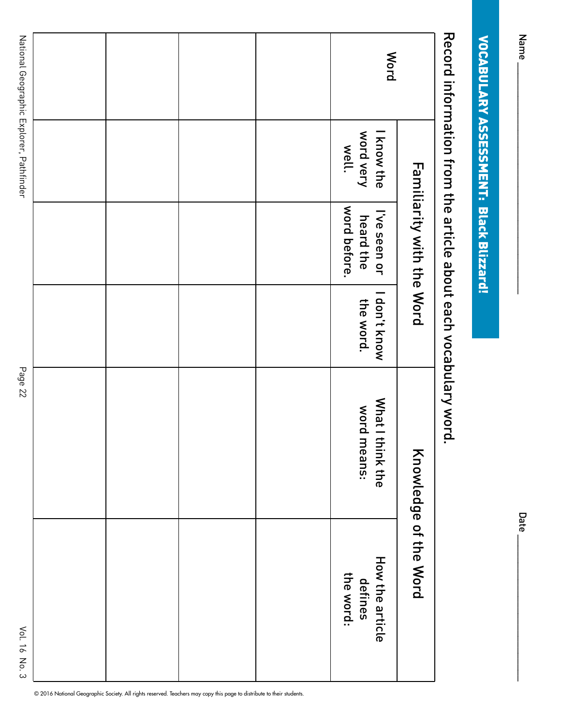| <b>Mord</b>                              | know the           | <b>Familiarity with the Word</b><br>I've seen or | Record information from the article apoct each vocapulary vord.<br>I don't know | What I t<br>hink the<br>Knowledge of the Word | How the article |
|------------------------------------------|--------------------|--------------------------------------------------|---------------------------------------------------------------------------------|-----------------------------------------------|-----------------|
|                                          | word very<br>well. | word before.<br>heard the                        | the word.                                                                       | word means:                                   |                 |
|                                          |                    |                                                  |                                                                                 |                                               |                 |
|                                          |                    |                                                  |                                                                                 |                                               |                 |
|                                          |                    |                                                  |                                                                                 |                                               |                 |
|                                          |                    |                                                  |                                                                                 |                                               |                 |
| National Geographic Explorer, Pathfinder |                    |                                                  |                                                                                 | Page 22                                       |                 |

© 2016 National Geographic Society. All rights reserved. Teachers may copy this page to distribute to their students.

Name \_\_\_\_\_\_\_\_\_\_\_\_\_\_\_\_\_\_\_\_\_\_\_\_\_\_\_\_\_\_\_\_\_\_\_\_\_\_\_\_\_ Date \_\_\_\_\_\_\_\_\_\_\_\_\_\_\_\_\_\_\_\_\_\_\_\_\_\_ **Date** 

VOCABULARY ASSESSMENT: Black Blizzard!

**VOCABULARY ASSESSMENT: Black Blizzard!** 

Name<sub>-</sub>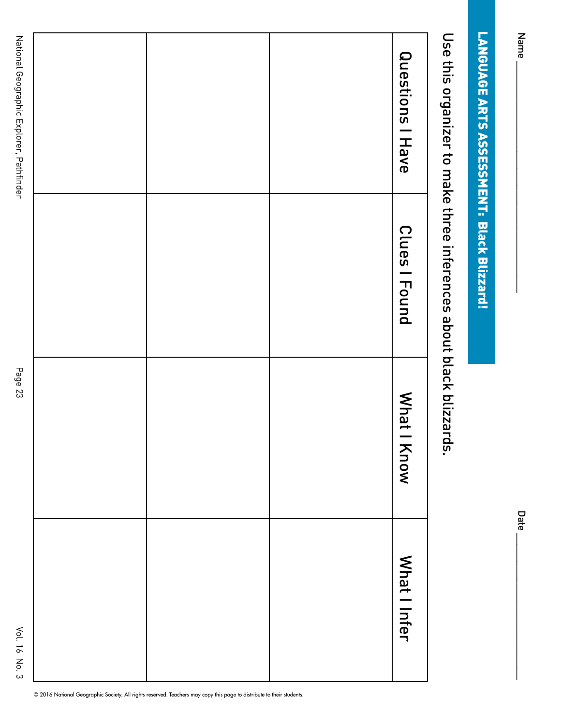| ٠<br>Jate |
|-----------|

Use this organizer to make three inferences about black blizzards. Use this organizer to make three inferences about black blizzards.

|  | Questions   Have      |
|--|-----------------------|
|  | Clues   Found         |
|  | <b>Mhat I</b><br>Know |
|  | What I Infer          |

© 2016 National Geographic Society. All rights reserved. Teachers may copy this page to distribute to their students.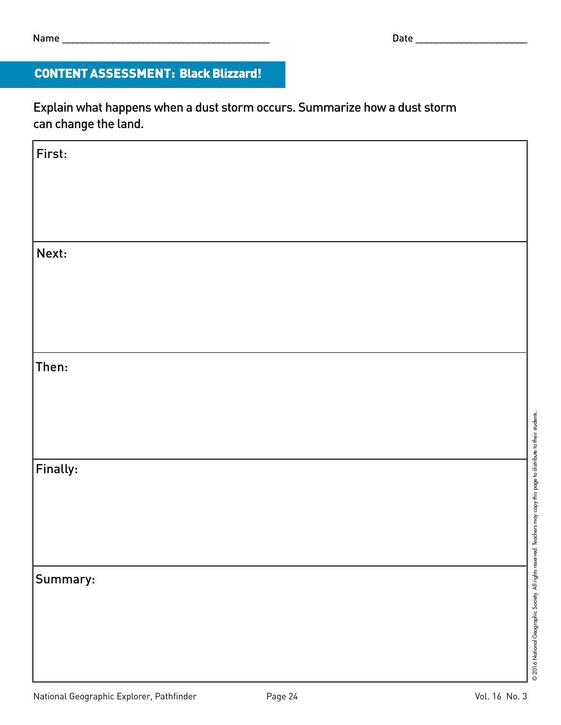#### CONTENT ASSESSMENT: Black Blizzard!

Explain what happens when a dust storm occurs. Summarize how a dust storm can change the land.

| First:   |  |  |                                                              |
|----------|--|--|--------------------------------------------------------------|
|          |  |  |                                                              |
|          |  |  |                                                              |
|          |  |  |                                                              |
|          |  |  |                                                              |
| Next:    |  |  |                                                              |
|          |  |  |                                                              |
|          |  |  |                                                              |
|          |  |  |                                                              |
|          |  |  |                                                              |
|          |  |  |                                                              |
| Then:    |  |  |                                                              |
|          |  |  |                                                              |
|          |  |  |                                                              |
|          |  |  |                                                              |
|          |  |  |                                                              |
|          |  |  |                                                              |
| Finally: |  |  | Teachers may copy this page to distribute to their students. |
|          |  |  |                                                              |
|          |  |  |                                                              |
|          |  |  |                                                              |
|          |  |  |                                                              |
|          |  |  |                                                              |
| Summary: |  |  |                                                              |
|          |  |  |                                                              |
|          |  |  |                                                              |
|          |  |  | 2016 National Geographic Society. All rights reserved.       |
|          |  |  |                                                              |
|          |  |  |                                                              |
|          |  |  |                                                              |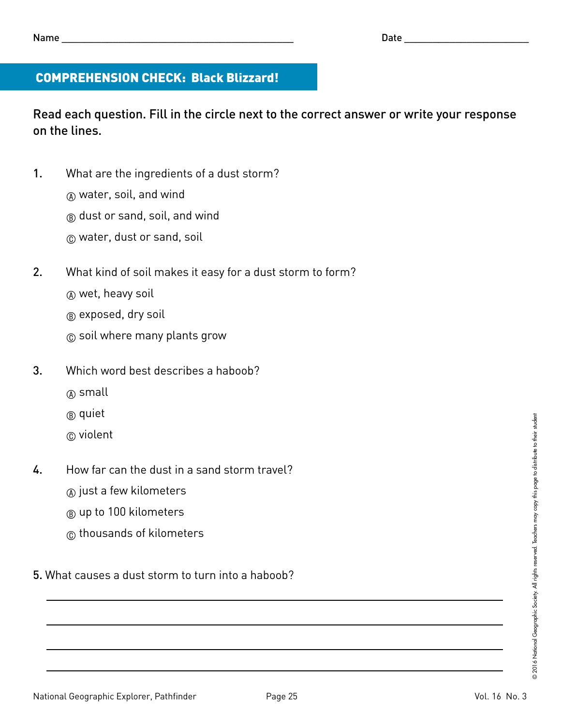#### COMPREHENSION CHECK: Black Blizzard!

Read each question. Fill in the circle next to the correct answer or write your response on the lines.

- 1. What are the ingredients of a dust storm?
	- $\circledR$  water, soil, and wind
	- $(B)$  dust or sand, soil, and wind
	- C water, dust or sand, soil
- 2. What kind of soil makes it easy for a dust storm to form?
	- A wet, heavy soil
	- $(B)$  exposed, dry soil
	- C soil where many plants grow
- 3. Which word best describes a haboob?
	- A small
	- B quiet
	- C violent
- 4. How far can the dust in a sand storm travel?
	- $\alpha$  just a few kilometers
	- $\circledR$  up to 100 kilometers
	- C thousands of kilometers
- 5. What causes a dust storm to turn into a haboob?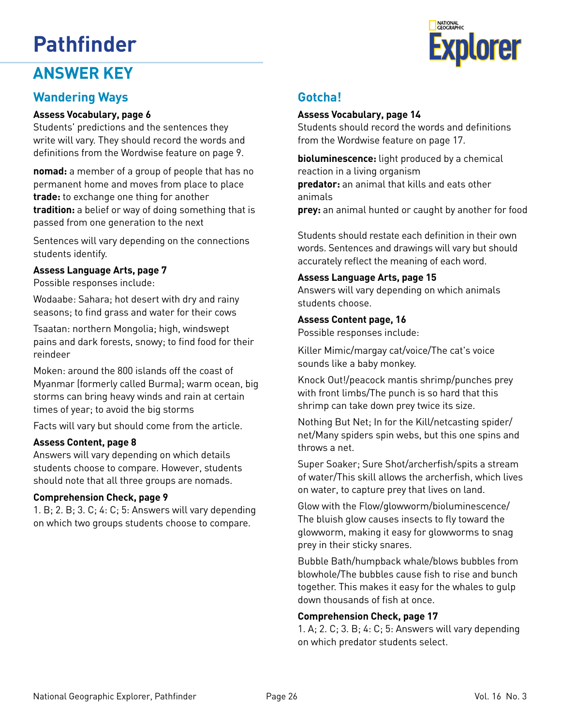#### **ANSWER KEY**

#### **Wandering Ways**

#### **Assess Vocabulary, page 6**

Students' predictions and the sentences they write will vary. They should record the words and definitions from the Wordwise feature on page 9.

**nomad:** a member of a group of people that has no permanent home and moves from place to place **trade:** to exchange one thing for another **tradition:** a belief or way of doing something that is passed from one generation to the next

Sentences will vary depending on the connections students identify.

#### **Assess Language Arts, page 7**

Possible responses include:

Wodaabe: Sahara; hot desert with dry and rainy seasons; to find grass and water for their cows

Tsaatan: northern Mongolia; high, windswept pains and dark forests, snowy; to find food for their reindeer

Moken: around the 800 islands off the coast of Myanmar (formerly called Burma); warm ocean, big storms can bring heavy winds and rain at certain times of year; to avoid the big storms

Facts will vary but should come from the article.

#### **Assess Content, page 8**

Answers will vary depending on which details students choose to compare. However, students should note that all three groups are nomads.

#### **Comprehension Check, page 9**

1. B; 2. B; 3. C; 4: C; 5: Answers will vary depending on which two groups students choose to compare.

#### **Gotcha!**

#### **Assess Vocabulary, page 14**

Students should record the words and definitions from the Wordwise feature on page 17.

**bioluminescence:** light produced by a chemical reaction in a living organism **predator:** an animal that kills and eats other animals

**prey:** an animal hunted or caught by another for food

Students should restate each definition in their own words. Sentences and drawings will vary but should accurately reflect the meaning of each word.

#### **Assess Language Arts, page 15**

Answers will vary depending on which animals students choose.

#### **Assess Content page, 16**

Possible responses include:

Killer Mimic/margay cat/voice/The cat's voice sounds like a baby monkey.

Knock Out!/peacock mantis shrimp/punches prey with front limbs/The punch is so hard that this shrimp can take down prey twice its size.

Nothing But Net; In for the Kill/netcasting spider/ net/Many spiders spin webs, but this one spins and throws a net.

Super Soaker; Sure Shot/archerfish/spits a stream of water/This skill allows the archerfish, which lives on water, to capture prey that lives on land.

Glow with the Flow/glowworm/bioluminescence/ The bluish glow causes insects to fly toward the glowworm, making it easy for glowworms to snag prey in their sticky snares.

Bubble Bath/humpback whale/blows bubbles from blowhole/The bubbles cause fish to rise and bunch together. This makes it easy for the whales to gulp down thousands of fish at once.

#### **Comprehension Check, page 17**

1. A; 2. C; 3. B; 4: C; 5: Answers will vary depending on which predator students select.